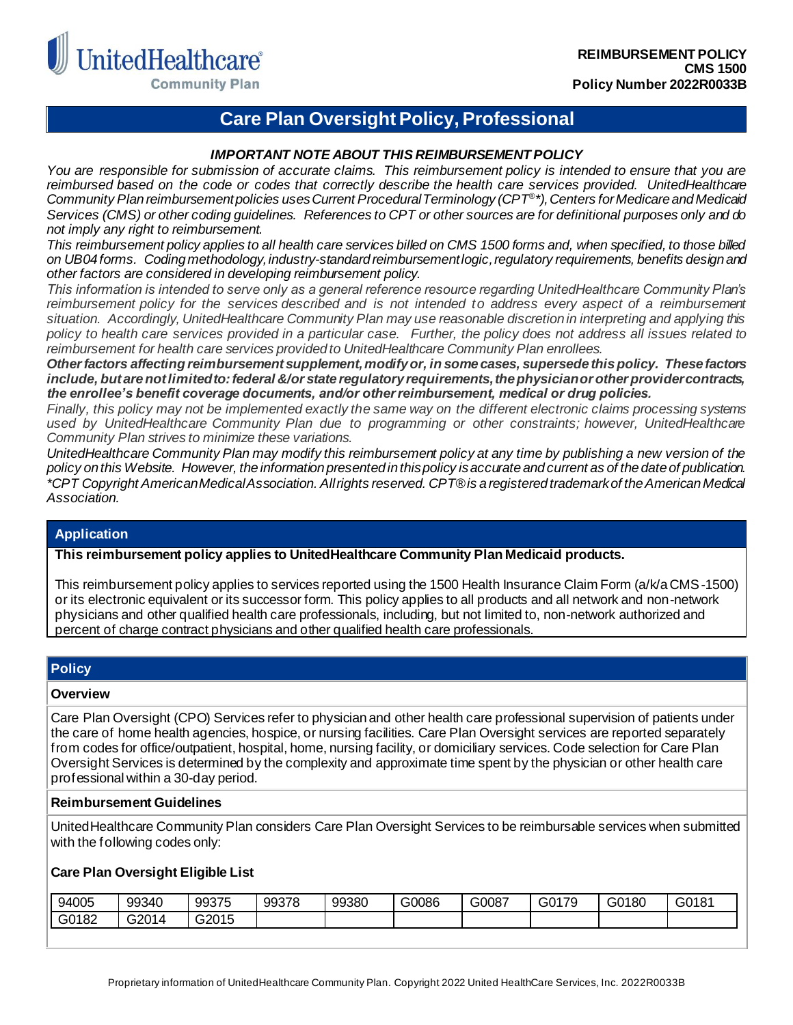

**Community Plan** 

# **Care Plan Oversight Policy, Professional**

## *IMPORTANT NOTE ABOUT THIS REIMBURSEMENT POLICY*

*You are responsible for submission of accurate claims. This reimbursement policy is intended to ensure that you are reimbursed based on the code or codes that correctly describe the health care services provided. UnitedHealthcare Community Plan reimbursement policies uses Current Procedural Terminology (CPT® \*), Centers for Medicare and Medicaid Services (CMS) or other coding guidelines. References to CPT or other sources are for definitional purposes only and do not imply any right to reimbursement.*

*This reimbursement policy applies to all health care services billed on CMS 1500 forms and, when specified, to those billed on UB04 forms. Coding methodology, industry-standard reimbursement logic, regulatory requirements, benefits design and other factors are considered in developing reimbursement policy.*

*This information is intended to serve only as a general reference resource regarding UnitedHealthcare Community Plan's reimbursement policy for the services described and is not intended to address every aspect of a reimbursement situation. Accordingly, UnitedHealthcare Community Plan may use reasonable discretion in interpreting and applying this policy to health care services provided in a particular case. Further, the policy does not address all issues related to reimbursement for health care services provided to UnitedHealthcare Community Plan enrollees.* 

*Other factors affecting reimbursement supplement, modify or, in some cases, supersede this policy. These factors include, but are not limited to: federal &/or state regulatory requirements, the physician or other provider contracts, the enrollee's benefit coverage documents, and/or other reimbursement, medical or drug policies.*

*Finally, this policy may not be implemented exactly the same way on the different electronic claims processing systems used by UnitedHealthcare Community Plan due to programming or other constraints; however, UnitedHealthcare Community Plan strives to minimize these variations.*

*UnitedHealthcare Community Plan may modify this reimbursement policy at any time by publishing a new version of the policy on this Website. However, the information presented in this policy is accurate and current as of the date of publication. \*CPT Copyright American Medical Association. All rights reserved. CPT® is a registered trademark of the American Medical Association.*

# **Application**

**This reimbursement policy applies to UnitedHealthcare Community Plan Medicaid products.**

This reimbursement policy applies to services reported using the 1500 Health Insurance Claim Form (a/k/a CMS-1500) or its electronic equivalent or its successor form. This policy applies to all products and all network and non-network physicians and other qualified health care professionals, including, but not limited to, non-network authorized and percent of charge contract physicians and other qualified health care professionals.

## **Policy**

#### **Overview**

Care Plan Oversight (CPO) Services refer to physician and other health care professional supervision of patients under the care of home health agencies, hospice, or nursing facilities. Care Plan Oversight services are reported separately from codes for office/outpatient, hospital, home, nursing facility, or domiciliary services. Code selection for Care Plan Oversight Services is determined by the complexity and approximate time spent by the physician or other health care professional within a 30-day period.

#### **Reimbursement Guidelines**

UnitedHealthcare Community Plan considers Care Plan Oversight Services to be reimbursable services when submitted with the following codes only:

## **Care Plan Oversight Eligible List**

| 94005 | 99340        | 99375 | 99378 | 99380 | G0086 | G0087 | G0179 | G0180<br>ಀಀ | G0181 |
|-------|--------------|-------|-------|-------|-------|-------|-------|-------------|-------|
| G0182 | 0.004<br>ט∠ט | G2015 |       |       |       |       |       |             |       |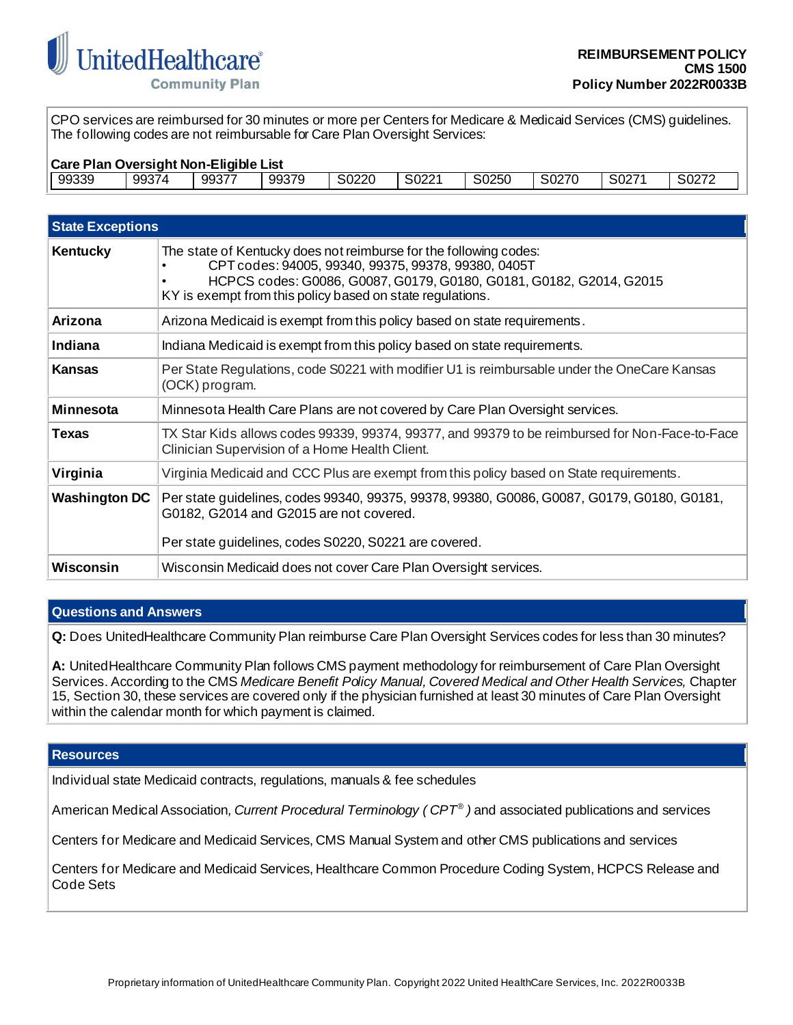

CPO services are reimbursed for 30 minutes or more per Centers for Medicare & Medicaid Services (CMS) guidelines. The following codes are not reimbursable for Care Plan Oversight Services:

| Care Plan Oversight Non-Eligible List |       |       |       |       |       |       |       |       |       |
|---------------------------------------|-------|-------|-------|-------|-------|-------|-------|-------|-------|
| 99339                                 | 99374 | 99377 | 99379 | S0220 | S0221 | S0250 | S0270 | S0271 | S0272 |

| <b>State Exceptions</b> |                                                                                                                                                                                                                                                              |  |  |  |
|-------------------------|--------------------------------------------------------------------------------------------------------------------------------------------------------------------------------------------------------------------------------------------------------------|--|--|--|
| Kentucky                | The state of Kentucky does not reimburse for the following codes:<br>CPT codes: 94005, 99340, 99375, 99378, 99380, 0405T<br>HCPCS codes: G0086, G0087, G0179, G0180, G0181, G0182, G2014, G2015<br>KY is exempt from this policy based on state regulations. |  |  |  |
| Arizona                 | Arizona Medicaid is exempt from this policy based on state requirements.                                                                                                                                                                                     |  |  |  |
| Indiana                 | Indiana Medicaid is exempt from this policy based on state requirements.                                                                                                                                                                                     |  |  |  |
| <b>Kansas</b>           | Per State Regulations, code S0221 with modifier U1 is reimbursable under the OneCare Kansas<br>(OCK) program.                                                                                                                                                |  |  |  |
| <b>Minnesota</b>        | Minnesota Health Care Plans are not covered by Care Plan Oversight services.                                                                                                                                                                                 |  |  |  |
| <b>Texas</b>            | TX Star Kids allows codes 99339, 99374, 99377, and 99379 to be reimbursed for Non-Face-to-Face<br>Clinician Supervision of a Home Health Client.                                                                                                             |  |  |  |
| Virginia                | Virginia Medicaid and CCC Plus are exempt from this policy based on State requirements.                                                                                                                                                                      |  |  |  |
| <b>Washington DC</b>    | Per state guidelines, codes 99340, 99375, 99378, 99380, G0086, G0087, G0179, G0180, G0181,<br>G0182, G2014 and G2015 are not covered.<br>Per state guidelines, codes S0220, S0221 are covered.                                                               |  |  |  |
| Wisconsin               | Wisconsin Medicaid does not cover Care Plan Oversight services.                                                                                                                                                                                              |  |  |  |

# **Questions and Answers**

**Q:** Does UnitedHealthcare Community Plan reimburse Care Plan Oversight Services codes for less than 30 minutes?

**A:** UnitedHealthcare Community Plan follows CMS payment methodology for reimbursement of Care Plan Oversight Services. According to the CMS *Medicare Benefit Policy Manual, Covered Medical and Other Health Services,* Chapter 15, Section 30, these services are covered only if the physician furnished at least 30 minutes of Care Plan Oversight within the calendar month for which payment is claimed.

## **Resources**

Individual state Medicaid contracts, regulations, manuals & fee schedules

American Medical Association*, Current Procedural Terminology ( CPT® )* and associated publications and services

Centers for Medicare and Medicaid Services, CMS Manual System and other CMS publications and services

Centers for Medicare and Medicaid Services, Healthcare Common Procedure Coding System, HCPCS Release and Code Sets